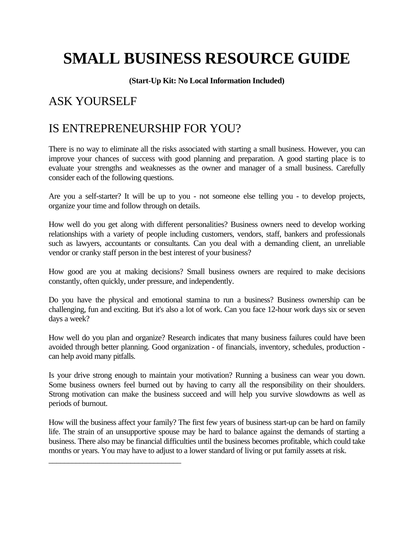# **SMALL BUSINESS RESOURCE GUIDE**

**(Start-Up Kit: No Local Information Included)**

# ASK YOURSELF

\_\_\_\_\_\_\_\_\_\_\_\_\_\_\_\_\_\_\_\_\_\_\_\_\_\_\_\_\_\_\_\_\_\_

# IS ENTREPRENEURSHIP FOR YOU?

There is no way to eliminate all the risks associated with starting a small business. However, you can improve your chances of success with good planning and preparation. A good starting place is to evaluate your strengths and weaknesses as the owner and manager of a small business. Carefully consider each of the following questions.

Are you a self-starter? It will be up to you - not someone else telling you - to develop projects, organize your time and follow through on details.

How well do you get along with different personalities? Business owners need to develop working relationships with a variety of people including customers, vendors, staff, bankers and professionals such as lawyers, accountants or consultants. Can you deal with a demanding client, an unreliable vendor or cranky staff person in the best interest of your business?

How good are you at making decisions? Small business owners are required to make decisions constantly, often quickly, under pressure, and independently.

Do you have the physical and emotional stamina to run a business? Business ownership can be challenging, fun and exciting. But it's also a lot of work. Can you face 12-hour work days six or seven days a week?

How well do you plan and organize? Research indicates that many business failures could have been avoided through better planning. Good organization - of financials, inventory, schedules, production can help avoid many pitfalls.

Is your drive strong enough to maintain your motivation? Running a business can wear you down. Some business owners feel burned out by having to carry all the responsibility on their shoulders. Strong motivation can make the business succeed and will help you survive slowdowns as well as periods of burnout.

How will the business affect your family? The first few years of business start-up can be hard on family life. The strain of an unsupportive spouse may be hard to balance against the demands of starting a business. There also may be financial difficulties until the business becomes profitable, which could take months or years. You may have to adjust to a lower standard of living or put family assets at risk.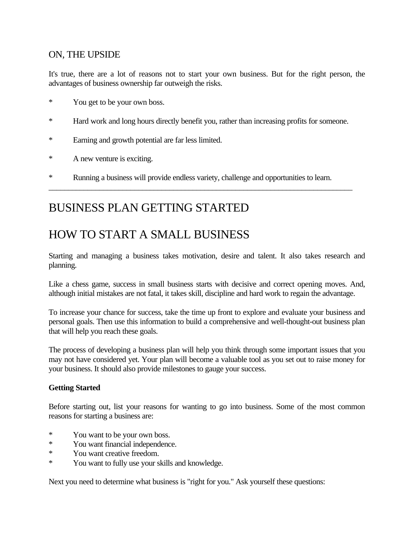# ON, THE UPSIDE

It's true, there are a lot of reasons not to start your own business. But for the right person, the advantages of business ownership far outweigh the risks.

- \* You get to be your own boss.
- \* Hard work and long hours directly benefit you, rather than increasing profits for someone.
- \* Earning and growth potential are far less limited.
- \* A new venture is exciting.
- \* Running a business will provide endless variety, challenge and opportunities to learn.

\_\_\_\_\_\_\_\_\_\_\_\_\_\_\_\_\_\_\_\_\_\_\_\_\_\_\_\_\_\_\_\_\_\_\_\_\_\_\_\_\_\_\_\_\_\_\_\_\_\_\_\_\_\_\_\_\_\_\_\_\_\_\_\_\_\_\_\_\_\_\_\_\_\_\_\_\_\_

# BUSINESS PLAN GETTING STARTED

# HOW TO START A SMALL BUSINESS

Starting and managing a business takes motivation, desire and talent. It also takes research and planning.

Like a chess game, success in small business starts with decisive and correct opening moves. And, although initial mistakes are not fatal, it takes skill, discipline and hard work to regain the advantage.

To increase your chance for success, take the time up front to explore and evaluate your business and personal goals. Then use this information to build a comprehensive and well-thought-out business plan that will help you reach these goals.

The process of developing a business plan will help you think through some important issues that you may not have considered yet. Your plan will become a valuable tool as you set out to raise money for your business. It should also provide milestones to gauge your success.

#### **Getting Started**

Before starting out, list your reasons for wanting to go into business. Some of the most common reasons for starting a business are:

- \* You want to be your own boss.
- \* You want financial independence.
- \* You want creative freedom.
- \* You want to fully use your skills and knowledge.

Next you need to determine what business is "right for you." Ask yourself these questions: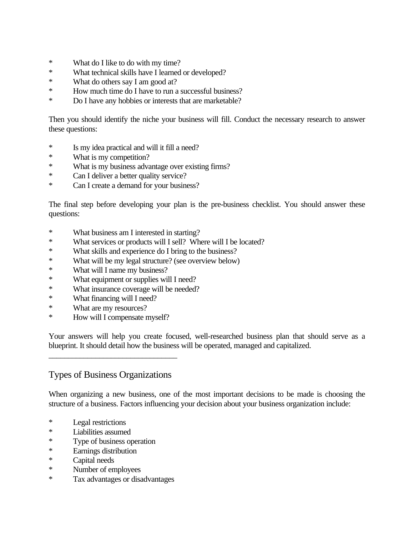- \* What do I like to do with my time?
- \* What technical skills have I learned or developed?
- \* What do others say I am good at?
- \* How much time do I have to run a successful business?
- \* Do I have any hobbies or interests that are marketable?

Then you should identify the niche your business will fill. Conduct the necessary research to answer these questions:

- \* Is my idea practical and will it fill a need?
- \* What is my competition?
- \* What is my business advantage over existing firms?
- \* Can I deliver a better quality service?
- \* Can I create a demand for your business?

The final step before developing your plan is the pre-business checklist. You should answer these questions:

- \* What business am I interested in starting?
- \* What services or products will I sell? Where will I be located?
- \* What skills and experience do I bring to the business?
- \* What will be my legal structure? (see overview below)
- \* What will I name my business?
- \* What equipment or supplies will I need?
- \* What insurance coverage will be needed?<br>\* What financing will I need?
- What financing will I need?
- \* What are my resources?
- \* How will I compensate myself?

Your answers will help you create focused, well-researched business plan that should serve as a blueprint. It should detail how the business will be operated, managed and capitalized.

# Types of Business Organizations

\_\_\_\_\_\_\_\_\_\_\_\_\_\_\_\_\_\_\_\_\_\_\_\_\_\_\_\_\_\_\_\_\_

When organizing a new business, one of the most important decisions to be made is choosing the structure of a business. Factors influencing your decision about your business organization include:

- \* Legal restrictions
- \* Liabilities assumed
- \* Type of business operation
- \* Earnings distribution
- \* Capital needs
- \* Number of employees
- \* Tax advantages or disadvantages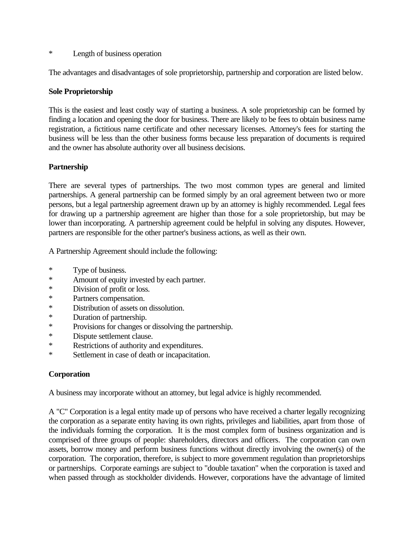\* Length of business operation

The advantages and disadvantages of sole proprietorship, partnership and corporation are listed below.

#### **Sole Proprietorship**

This is the easiest and least costly way of starting a business. A sole proprietorship can be formed by finding a location and opening the door for business. There are likely to be fees to obtain business name registration, a fictitious name certificate and other necessary licenses. Attorney's fees for starting the business will be less than the other business forms because less preparation of documents is required and the owner has absolute authority over all business decisions.

#### **Partnership**

There are several types of partnerships. The two most common types are general and limited partnerships. A general partnership can be formed simply by an oral agreement between two or more persons, but a legal partnership agreement drawn up by an attorney is highly recommended. Legal fees for drawing up a partnership agreement are higher than those for a sole proprietorship, but may be lower than incorporating. A partnership agreement could be helpful in solving any disputes. However, partners are responsible for the other partner's business actions, as well as their own.

A Partnership Agreement should include the following:

- \* Type of business.<br>\* Amount of equity
- Amount of equity invested by each partner.
- \* Division of profit or loss.
- Partners compensation.
- \* Distribution of assets on dissolution.
- \* Duration of partnership.
- \* Provisions for changes or dissolving the partnership.
- \* Dispute settlement clause.
- \* Restrictions of authority and expenditures.
- \* Settlement in case of death or incapacitation.

# **Corporation**

A business may incorporate without an attorney, but legal advice is highly recommended.

A "C" Corporation is a legal entity made up of persons who have received a charter legally recognizing the corporation as a separate entity having its own rights, privileges and liabilities, apart from those of the individuals forming the corporation. It is the most complex form of business organization and is comprised of three groups of people: shareholders, directors and officers. The corporation can own assets, borrow money and perform business functions without directly involving the owner(s) of the corporation. The corporation, therefore, is subject to more government regulation than proprietorships or partnerships. Corporate earnings are subject to "double taxation" when the corporation is taxed and when passed through as stockholder dividends. However, corporations have the advantage of limited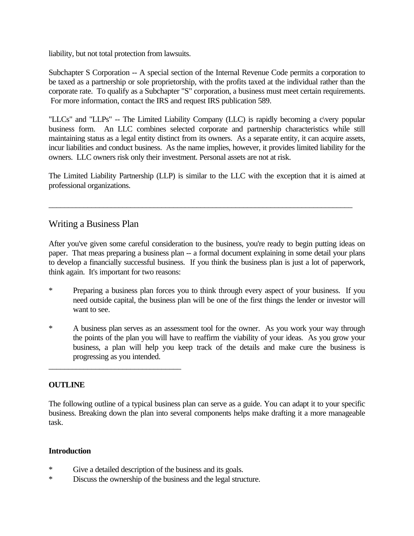liability, but not total protection from lawsuits.

Subchapter S Corporation -- A special section of the Internal Revenue Code permits a corporation to be taxed as a partnership or sole proprietorship, with the profits taxed at the individual rather than the corporate rate. To qualify as a Subchapter "S" corporation, a business must meet certain requirements. For more information, contact the IRS and request IRS publication 589.

"LLCs" and "LLPs" -- The Limited Liability Company (LLC) is rapidly becoming a c\very popular business form. An LLC combines selected corporate and partnership characteristics while still maintaining status as a legal entity distinct from its owners. As a separate entity, it can acquire assets, incur liabilities and conduct business. As the name implies, however, it provides limited liability for the owners. LLC owners risk only their investment. Personal assets are not at risk.

The Limited Liability Partnership (LLP) is similar to the LLC with the exception that it is aimed at professional organizations.

\_\_\_\_\_\_\_\_\_\_\_\_\_\_\_\_\_\_\_\_\_\_\_\_\_\_\_\_\_\_\_\_\_\_\_\_\_\_\_\_\_\_\_\_\_\_\_\_\_\_\_\_\_\_\_\_\_\_\_\_\_\_\_\_\_\_\_\_\_\_\_\_\_\_\_\_\_\_

# Writing a Business Plan

\_\_\_\_\_\_\_\_\_\_\_\_\_\_\_\_\_\_\_\_\_\_\_\_\_\_\_\_\_\_\_\_\_\_

After you've given some careful consideration to the business, you're ready to begin putting ideas on paper. That meas preparing a business plan -- a formal document explaining in some detail your plans to develop a financially successful business. If you think the business plan is just a lot of paperwork, think again. It's important for two reasons:

- \* Preparing a business plan forces you to think through every aspect of your business. If you need outside capital, the business plan will be one of the first things the lender or investor will want to see.
- \* A business plan serves as an assessment tool for the owner. As you work your way through the points of the plan you will have to reaffirm the viability of your ideas. As you grow your business, a plan will help you keep track of the details and make cure the business is progressing as you intended.

# **OUTLINE**

The following outline of a typical business plan can serve as a guide. You can adapt it to your specific business. Breaking down the plan into several components helps make drafting it a more manageable task.

# **Introduction**

- \* Give a detailed description of the business and its goals.
- \* Discuss the ownership of the business and the legal structure.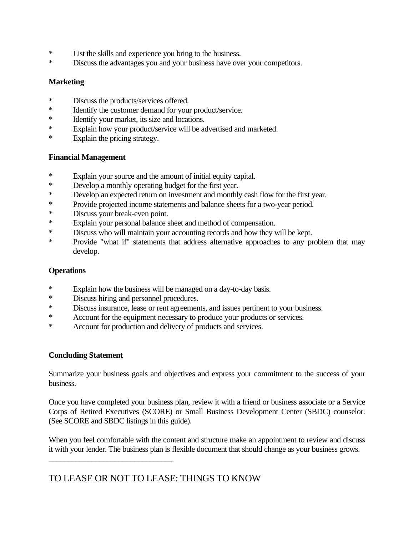- \* List the skills and experience you bring to the business.
- \* Discuss the advantages you and your business have over your competitors.

# **Marketing**

- \* Discuss the products/services offered.
- \* Identify the customer demand for your product/service.
- \* Identify your market, its size and locations.
- \* Explain how your product/service will be advertised and marketed.
- \* Explain the pricing strategy.

# **Financial Management**

- \* Explain your source and the amount of initial equity capital.
- \* Develop a monthly operating budget for the first year.<br>Nevelop an expected return on investment and monthly
- Develop an expected return on investment and monthly cash flow for the first year.
- \* Provide projected income statements and balance sheets for a two-year period.
- \* Discuss your break-even point.
- \* Explain your personal balance sheet and method of compensation.
- \* Discuss who will maintain your accounting records and how they will be kept.
- \* Provide "what if" statements that address alternative approaches to any problem that may develop.

# **Operations**

- \* Explain how the business will be managed on a day-to-day basis.<br>Nicous hiring and personal procedures
- Discuss hiring and personnel procedures.
- \* Discuss insurance, lease or rent agreements, and issues pertinent to your business.
- \* Account for the equipment necessary to produce your products or services.
- \* Account for production and delivery of products and services.

# **Concluding Statement**

\_\_\_\_\_\_\_\_\_\_\_\_\_\_\_\_\_\_\_\_\_\_\_\_\_\_\_\_\_\_\_\_

Summarize your business goals and objectives and express your commitment to the success of your business.

Once you have completed your business plan, review it with a friend or business associate or a Service Corps of Retired Executives (SCORE) or Small Business Development Center (SBDC) counselor. (See SCORE and SBDC listings in this guide).

When you feel comfortable with the content and structure make an appointment to review and discuss it with your lender. The business plan is flexible document that should change as your business grows.

TO LEASE OR NOT TO LEASE: THINGS TO KNOW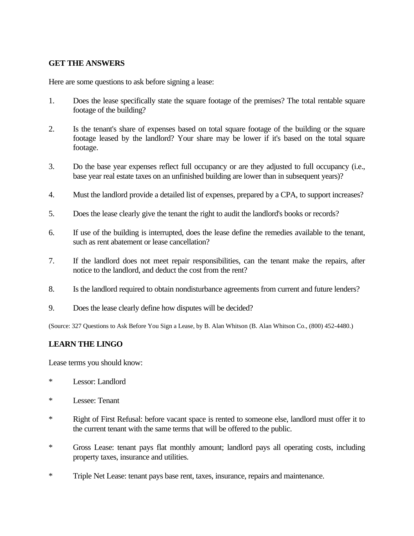#### **GET THE ANSWERS**

Here are some questions to ask before signing a lease:

- 1. Does the lease specifically state the square footage of the premises? The total rentable square footage of the building?
- 2. Is the tenant's share of expenses based on total square footage of the building or the square footage leased by the landlord? Your share may be lower if it's based on the total square footage.
- 3. Do the base year expenses reflect full occupancy or are they adjusted to full occupancy (i.e., base year real estate taxes on an unfinished building are lower than in subsequent years)?
- 4. Must the landlord provide a detailed list of expenses, prepared by a CPA, to support increases?
- 5. Does the lease clearly give the tenant the right to audit the landlord's books or records?
- 6. If use of the building is interrupted, does the lease define the remedies available to the tenant, such as rent abatement or lease cancellation?
- 7. If the landlord does not meet repair responsibilities, can the tenant make the repairs, after notice to the landlord, and deduct the cost from the rent?
- 8. Is the landlord required to obtain nondisturbance agreements from current and future lenders?
- 9. Does the lease clearly define how disputes will be decided?

(Source: 327 Questions to Ask Before You Sign a Lease, by B. Alan Whitson (B. Alan Whitson Co., (800) 452-4480.)

# **LEARN THE LINGO**

Lease terms you should know:

- \* Lessor: Landlord
- \* Lessee: Tenant
- \* Right of First Refusal: before vacant space is rented to someone else, landlord must offer it to the current tenant with the same terms that will be offered to the public.
- \* Gross Lease: tenant pays flat monthly amount; landlord pays all operating costs, including property taxes, insurance and utilities.
- \* Triple Net Lease: tenant pays base rent, taxes, insurance, repairs and maintenance.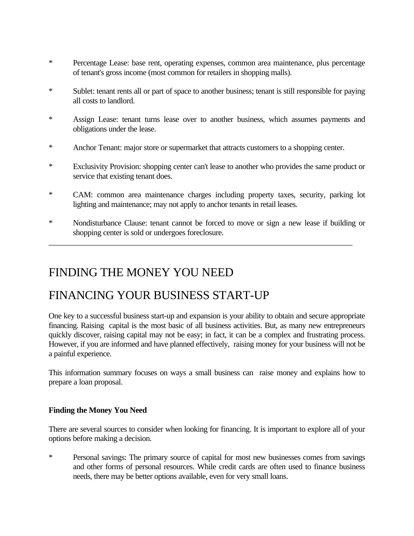- \* Percentage Lease: base rent, operating expenses, common area maintenance, plus percentage of tenant's gross income (most common for retailers in shopping malls).
- \* Sublet: tenant rents all or part of space to another business; tenant is still responsible for paying all costs to landlord.
- \* Assign Lease: tenant turns lease over to another business, which assumes payments and obligations under the lease.
- \* Anchor Tenant: major store or supermarket that attracts customers to a shopping center.
- \* Exclusivity Provision: shopping center can't lease to another who provides the same product or service that existing tenant does.
- \* CAM: common area maintenance charges including property taxes, security, parking lot lighting and maintenance; may not apply to anchor tenants in retail leases.
- \* Nondisturbance Clause: tenant cannot be forced to move or sign a new lease if building or shopping center is sold or undergoes foreclosure.

\_\_\_\_\_\_\_\_\_\_\_\_\_\_\_\_\_\_\_\_\_\_\_\_\_\_\_\_\_\_\_\_\_\_\_\_\_\_\_\_\_\_\_\_\_\_\_\_\_\_\_\_\_\_\_\_\_\_\_\_\_\_\_\_\_\_\_\_\_\_\_\_\_\_\_\_\_\_

# FINDING THE MONEY YOU NEED

# FINANCING YOUR BUSINESS START-UP

One key to a successful business start-up and expansion is your ability to obtain and secure appropriate financing. Raising capital is the most basic of all business activities. But, as many new entrepreneurs quickly discover, raising capital may not be easy; in fact, it can be a complex and frustrating process. However, if you are informed and have planned effectively, raising money for your business will not be a painful experience.

This information summary focuses on ways a small business can raise money and explains how to prepare a loan proposal.

#### **Finding the Money You Need**

There are several sources to consider when looking for financing. It is important to explore all of your options before making a decision.

\* Personal savings: The primary source of capital for most new businesses comes from savings and other forms of personal resources. While credit cards are often used to finance business needs, there may be better options available, even for very small loans.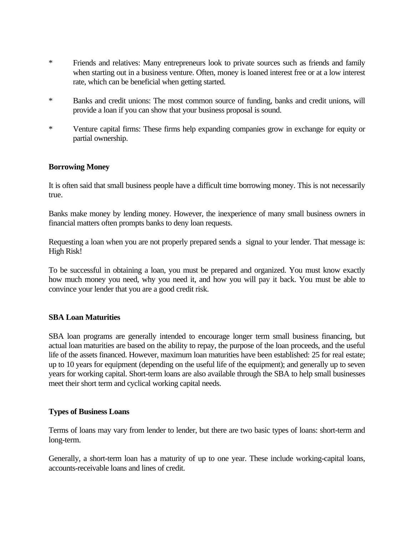- \* Friends and relatives: Many entrepreneurs look to private sources such as friends and family when starting out in a business venture. Often, money is loaned interest free or at a low interest rate, which can be beneficial when getting started.
- \* Banks and credit unions: The most common source of funding, banks and credit unions, will provide a loan if you can show that your business proposal is sound.
- \* Venture capital firms: These firms help expanding companies grow in exchange for equity or partial ownership.

#### **Borrowing Money**

It is often said that small business people have a difficult time borrowing money. This is not necessarily true.

Banks make money by lending money. However, the inexperience of many small business owners in financial matters often prompts banks to deny loan requests.

Requesting a loan when you are not properly prepared sends a signal to your lender. That message is: High Risk!

To be successful in obtaining a loan, you must be prepared and organized. You must know exactly how much money you need, why you need it, and how you will pay it back. You must be able to convince your lender that you are a good credit risk.

#### **SBA Loan Maturities**

SBA loan programs are generally intended to encourage longer term small business financing, but actual loan maturities are based on the ability to repay, the purpose of the loan proceeds, and the useful life of the assets financed. However, maximum loan maturities have been established: 25 for real estate; up to 10 years for equipment (depending on the useful life of the equipment); and generally up to seven years for working capital. Short-term loans are also available through the SBA to help small businesses meet their short term and cyclical working capital needs.

#### **Types of Business Loans**

Terms of loans may vary from lender to lender, but there are two basic types of loans: short-term and long-term.

Generally, a short-term loan has a maturity of up to one year. These include working-capital loans, accounts-receivable loans and lines of credit.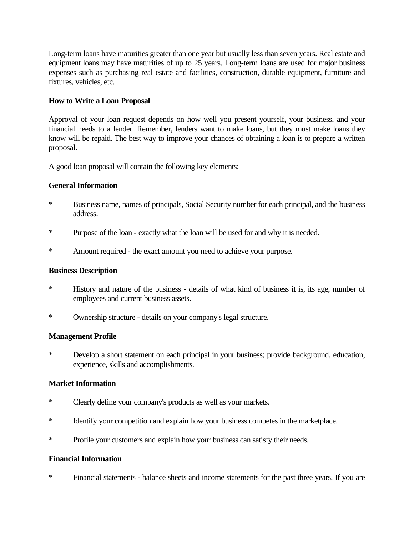Long-term loans have maturities greater than one year but usually less than seven years. Real estate and equipment loans may have maturities of up to 25 years. Long-term loans are used for major business expenses such as purchasing real estate and facilities, construction, durable equipment, furniture and fixtures, vehicles, etc.

# **How to Write a Loan Proposal**

Approval of your loan request depends on how well you present yourself, your business, and your financial needs to a lender. Remember, lenders want to make loans, but they must make loans they know will be repaid. The best way to improve your chances of obtaining a loan is to prepare a written proposal.

A good loan proposal will contain the following key elements:

# **General Information**

- \* Business name, names of principals, Social Security number for each principal, and the business address.
- \* Purpose of the loan exactly what the loan will be used for and why it is needed.
- \* Amount required the exact amount you need to achieve your purpose.

#### **Business Description**

- \* History and nature of the business details of what kind of business it is, its age, number of employees and current business assets.
- \* Ownership structure details on your company's legal structure.

#### **Management Profile**

\* Develop a short statement on each principal in your business; provide background, education, experience, skills and accomplishments.

#### **Market Information**

- \* Clearly define your company's products as well as your markets.
- \* Identify your competition and explain how your business competes in the marketplace.
- \* Profile your customers and explain how your business can satisfy their needs.

#### **Financial Information**

\* Financial statements - balance sheets and income statements for the past three years. If you are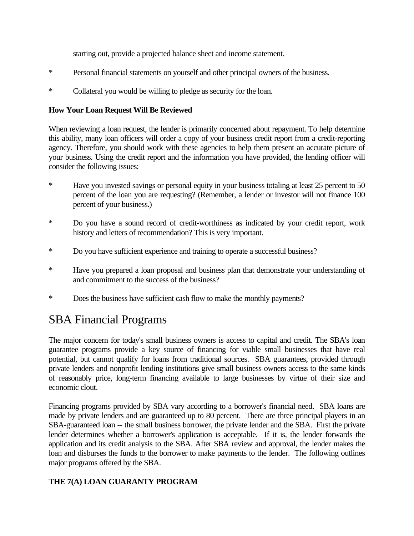starting out, provide a projected balance sheet and income statement.

- \* Personal financial statements on yourself and other principal owners of the business.
- \* Collateral you would be willing to pledge as security for the loan.

# **How Your Loan Request Will Be Reviewed**

When reviewing a loan request, the lender is primarily concerned about repayment. To help determine this ability, many loan officers will order a copy of your business credit report from a credit-reporting agency. Therefore, you should work with these agencies to help them present an accurate picture of your business. Using the credit report and the information you have provided, the lending officer will consider the following issues:

- \* Have you invested savings or personal equity in your business totaling at least 25 percent to 50 percent of the loan you are requesting? (Remember, a lender or investor will not finance 100 percent of your business.)
- \* Do you have a sound record of credit-worthiness as indicated by your credit report, work history and letters of recommendation? This is very important.
- \* Do you have sufficient experience and training to operate a successful business?
- \* Have you prepared a loan proposal and business plan that demonstrate your understanding of and commitment to the success of the business?
- \* Does the business have sufficient cash flow to make the monthly payments?

# SBA Financial Programs

The major concern for today's small business owners is access to capital and credit. The SBA's loan guarantee programs provide a key source of financing for viable small businesses that have real potential, but cannot qualify for loans from traditional sources. SBA guarantees, provided through private lenders and nonprofit lending institutions give small business owners access to the same kinds of reasonably price, long-term financing available to large businesses by virtue of their size and economic clout.

Financing programs provided by SBA vary according to a borrower's financial need. SBA loans are made by private lenders and are guaranteed up to 80 percent. There are three principal players in an SBA-guaranteed loan -- the small business borrower, the private lender and the SBA. First the private lender determines whether a borrower's application is acceptable. If it is, the lender forwards the application and its credit analysis to the SBA. After SBA review and approval, the lender makes the loan and disburses the funds to the borrower to make payments to the lender. The following outlines major programs offered by the SBA.

# **THE 7(A) LOAN GUARANTY PROGRAM**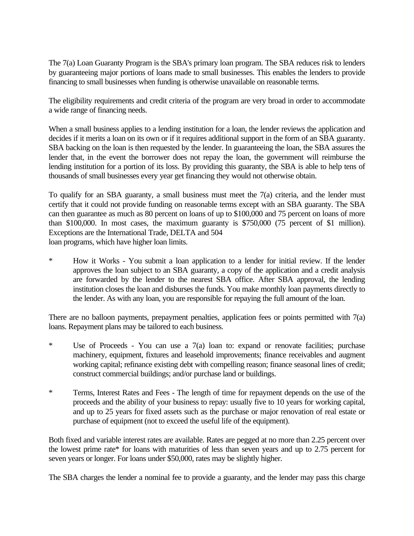The 7(a) Loan Guaranty Program is the SBA's primary loan program. The SBA reduces risk to lenders by guaranteeing major portions of loans made to small businesses. This enables the lenders to provide financing to small businesses when funding is otherwise unavailable on reasonable terms.

The eligibility requirements and credit criteria of the program are very broad in order to accommodate a wide range of financing needs.

When a small business applies to a lending institution for a loan, the lender reviews the application and decides if it merits a loan on its own or if it requires additional support in the form of an SBA guaranty. SBA backing on the loan is then requested by the lender. In guaranteeing the loan, the SBA assures the lender that, in the event the borrower does not repay the loan, the government will reimburse the lending institution for a portion of its loss. By providing this guaranty, the SBA is able to help tens of thousands of small businesses every year get financing they would not otherwise obtain.

To qualify for an SBA guaranty, a small business must meet the 7(a) criteria, and the lender must certify that it could not provide funding on reasonable terms except with an SBA guaranty. The SBA can then guarantee as much as 80 percent on loans of up to \$100,000 and 75 percent on loans of more than \$100,000. In most cases, the maximum guaranty is \$750,000 (75 percent of \$1 million). Exceptions are the International Trade, DELTA and 504 loan programs, which have higher loan limits.

\* How it Works - You submit a loan application to a lender for initial review. If the lender approves the loan subject to an SBA guaranty, a copy of the application and a credit analysis are forwarded by the lender to the nearest SBA office. After SBA approval, the lending institution closes the loan and disburses the funds. You make monthly loan payments directly to the lender. As with any loan, you are responsible for repaying the full amount of the loan.

There are no balloon payments, prepayment penalties, application fees or points permitted with 7(a) loans. Repayment plans may be tailored to each business.

- \* Use of Proceeds You can use a 7(a) loan to: expand or renovate facilities; purchase machinery, equipment, fixtures and leasehold improvements; finance receivables and augment working capital; refinance existing debt with compelling reason; finance seasonal lines of credit; construct commercial buildings; and/or purchase land or buildings.
- \* Terms, Interest Rates and Fees The length of time for repayment depends on the use of the proceeds and the ability of your business to repay: usually five to 10 years for working capital, and up to 25 years for fixed assets such as the purchase or major renovation of real estate or purchase of equipment (not to exceed the useful life of the equipment).

Both fixed and variable interest rates are available. Rates are pegged at no more than 2.25 percent over the lowest prime rate\* for loans with maturities of less than seven years and up to 2.75 percent for seven years or longer. For loans under \$50,000, rates may be slightly higher.

The SBA charges the lender a nominal fee to provide a guaranty, and the lender may pass this charge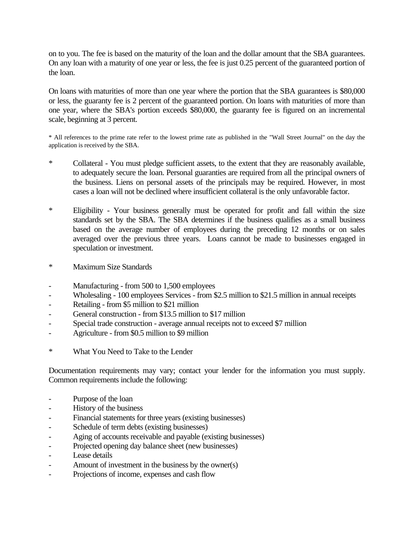on to you. The fee is based on the maturity of the loan and the dollar amount that the SBA guarantees. On any loan with a maturity of one year or less, the fee is just 0.25 percent of the guaranteed portion of the loan.

On loans with maturities of more than one year where the portion that the SBA guarantees is \$80,000 or less, the guaranty fee is 2 percent of the guaranteed portion. On loans with maturities of more than one year, where the SBA's portion exceeds \$80,000, the guaranty fee is figured on an incremental scale, beginning at 3 percent.

\* All references to the prime rate refer to the lowest prime rate as published in the "Wall Street Journal" on the day the application is received by the SBA.

- \* Collateral You must pledge sufficient assets, to the extent that they are reasonably available, to adequately secure the loan. Personal guaranties are required from all the principal owners of the business. Liens on personal assets of the principals may be required. However, in most cases a loan will not be declined where insufficient collateral is the only unfavorable factor.
- \* Eligibility Your business generally must be operated for profit and fall within the size standards set by the SBA. The SBA determines if the business qualifies as a small business based on the average number of employees during the preceding 12 months or on sales averaged over the previous three years. Loans cannot be made to businesses engaged in speculation or investment.
- \* Maximum Size Standards
- Manufacturing from 500 to 1,500 employees
- Wholesaling 100 employees Services from \$2.5 million to \$21.5 million in annual receipts
- Retailing from \$5 million to \$21 million
- General construction from \$13.5 million to \$17 million
- Special trade construction average annual receipts not to exceed \$7 million
- Agriculture from \$0.5 million to \$9 million
- \* What You Need to Take to the Lender

Documentation requirements may vary; contact your lender for the information you must supply. Common requirements include the following:

- Purpose of the loan
- History of the business
- Financial statements for three years (existing businesses)
- Schedule of term debts (existing businesses)
- Aging of accounts receivable and payable (existing businesses)
- Projected opening day balance sheet (new businesses)
- Lease details
- Amount of investment in the business by the owner(s)
- Projections of income, expenses and cash flow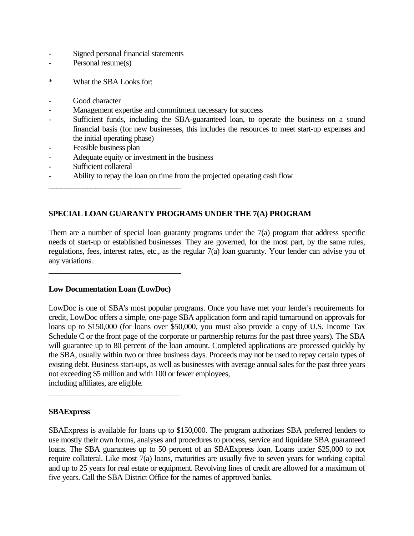- Signed personal financial statements
- Personal resume(s)
- \* What the SBA Looks for:
- Good character
- Management expertise and commitment necessary for success
- Sufficient funds, including the SBA-guaranteed loan, to operate the business on a sound financial basis (for new businesses, this includes the resources to meet start-up expenses and the initial operating phase)
- Feasible business plan
- Adequate equity or investment in the business

\_\_\_\_\_\_\_\_\_\_\_\_\_\_\_\_\_\_\_\_\_\_\_\_\_\_\_\_\_\_\_\_\_\_

- Sufficient collateral
- Ability to repay the loan on time from the projected operating cash flow

#### **SPECIAL LOAN GUARANTY PROGRAMS UNDER THE 7(A) PROGRAM**

Them are a number of special loan guaranty programs under the 7(a) program that address specific needs of start-up or established businesses. They are governed, for the most part, by the same rules, regulations, fees, interest rates, etc., as the regular 7(a) loan guaranty. Your lender can advise you of any variations.

#### **Low Documentation Loan (LowDoc)**

\_\_\_\_\_\_\_\_\_\_\_\_\_\_\_\_\_\_\_\_\_\_\_\_\_\_\_\_\_\_\_\_\_\_

\_\_\_\_\_\_\_\_\_\_\_\_\_\_\_\_\_\_\_\_\_\_\_\_\_\_\_\_\_\_\_\_\_\_

LowDoc is one of SBA's most popular programs. Once you have met your lender's requirements for credit, LowDoc offers a simple, one-page SBA application form and rapid turnaround on approvals for loans up to \$150,000 (for loans over \$50,000, you must also provide a copy of U.S. Income Tax Schedule C or the front page of the corporate or partnership returns for the past three years). The SBA will guarantee up to 80 percent of the loan amount. Completed applications are processed quickly by the SBA, usually within two or three business days. Proceeds may not be used to repay certain types of existing debt. Business start-ups, as well as businesses with average annual sales for the past three years not exceeding \$5 million and with 100 or fewer employees, including affiliates, are eligible.

**SBAExpress**

SBAExpress is available for loans up to \$150,000. The program authorizes SBA preferred lenders to use mostly their own forms, analyses and procedures to process, service and liquidate SBA guaranteed loans. The SBA guarantees up to 50 percent of an SBAExpress loan. Loans under \$25,000 to not require collateral. Like most 7(a) loans, maturities are usually five to seven years for working capital and up to 25 years for real estate or equipment. Revolving lines of credit are allowed for a maximum of five years. Call the SBA District Office for the names of approved banks.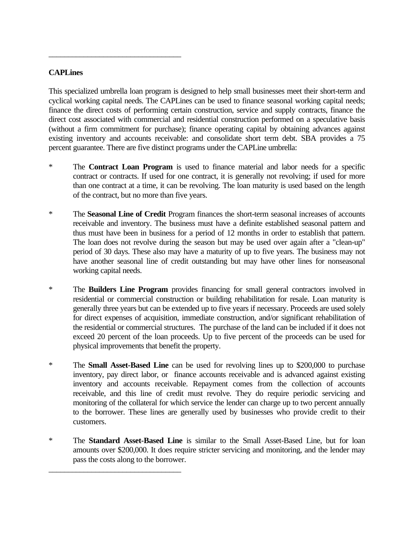# **CAPLines**

\_\_\_\_\_\_\_\_\_\_\_\_\_\_\_\_\_\_\_\_\_\_\_\_\_\_\_\_\_\_\_\_\_\_

\_\_\_\_\_\_\_\_\_\_\_\_\_\_\_\_\_\_\_\_\_\_\_\_\_\_\_\_\_\_\_\_\_\_

This specialized umbrella loan program is designed to help small businesses meet their short-term and cyclical working capital needs. The CAPLines can be used to finance seasonal working capital needs; finance the direct costs of performing certain construction, service and supply contracts, finance the direct cost associated with commercial and residential construction performed on a speculative basis (without a firm commitment for purchase); finance operating capital by obtaining advances against existing inventory and accounts receivable: and consolidate short term debt. SBA provides a 75 percent guarantee. There are five distinct programs under the CAPLine umbrella:

- \* The **Contract Loan Program** is used to finance material and labor needs for a specific contract or contracts. If used for one contract, it is generally not revolving; if used for more than one contract at a time, it can be revolving. The loan maturity is used based on the length of the contract, but no more than five years.
- \* The **Seasonal Line of Credit** Program finances the short-term seasonal increases of accounts receivable and inventory. The business must have a definite established seasonal pattern and thus must have been in business for a period of 12 months in order to establish that pattern. The loan does not revolve during the season but may be used over again after a "clean-up" period of 30 days. These also may have a maturity of up to five years. The business may not have another seasonal line of credit outstanding but may have other lines for nonseasonal working capital needs.
- \* The **Builders Line Program** provides financing for small general contractors involved in residential or commercial construction or building rehabilitation for resale. Loan maturity is generally three years but can be extended up to five years if necessary. Proceeds are used solely for direct expenses of acquisition, immediate construction, and/or significant rehabilitation of the residential or commercial structures. The purchase of the land can be included if it does not exceed 20 percent of the loan proceeds. Up to five percent of the proceeds can be used for physical improvements that benefit the property.
- \* The **Small Asset-Based Line** can be used for revolving lines up to \$200,000 to purchase inventory, pay direct labor, or finance accounts receivable and is advanced against existing inventory and accounts receivable. Repayment comes from the collection of accounts receivable, and this line of credit must revolve. They do require periodic servicing and monitoring of the collateral for which service the lender can charge up to two percent annually to the borrower. These lines are generally used by businesses who provide credit to their customers.
- \* The **Standard Asset-Based Line** is similar to the Small Asset-Based Line, but for loan amounts over \$200,000. It does require stricter servicing and monitoring, and the lender may pass the costs along to the borrower.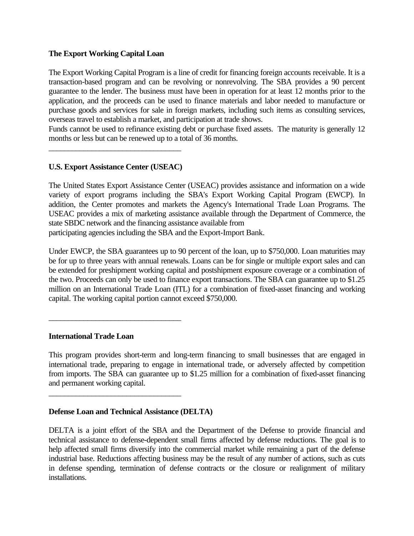#### **The Export Working Capital Loan**

The Export Working Capital Program is a line of credit for financing foreign accounts receivable. It is a transaction-based program and can be revolving or nonrevolving. The SBA provides a 90 percent guarantee to the lender. The business must have been in operation for at least 12 months prior to the application, and the proceeds can be used to finance materials and labor needed to manufacture or purchase goods and services for sale in foreign markets, including such items as consulting services, overseas travel to establish a market, and participation at trade shows.

Funds cannot be used to refinance existing debt or purchase fixed assets. The maturity is generally 12 months or less but can be renewed up to a total of 36 months.

#### **U.S. Export Assistance Center (USEAC)**

\_\_\_\_\_\_\_\_\_\_\_\_\_\_\_\_\_\_\_\_\_\_\_\_\_\_\_\_\_\_\_\_\_\_

The United States Export Assistance Center (USEAC) provides assistance and information on a wide variety of export programs including the SBA's Export Working Capital Program (EWCP). In addition, the Center promotes and markets the Agency's International Trade Loan Programs. The USEAC provides a mix of marketing assistance available through the Department of Commerce, the state SBDC network and the financing assistance available from

participating agencies including the SBA and the Export-Import Bank.

Under EWCP, the SBA guarantees up to 90 percent of the loan, up to \$750,000. Loan maturities may be for up to three years with annual renewals. Loans can be for single or multiple export sales and can be extended for preshipment working capital and postshipment exposure coverage or a combination of the two. Proceeds can only be used to finance export transactions. The SBA can guarantee up to \$1.25 million on an International Trade Loan (ITL) for a combination of fixed-asset financing and working capital. The working capital portion cannot exceed \$750,000.

#### **International Trade Loan**

\_\_\_\_\_\_\_\_\_\_\_\_\_\_\_\_\_\_\_\_\_\_\_\_\_\_\_\_\_\_\_\_\_\_

\_\_\_\_\_\_\_\_\_\_\_\_\_\_\_\_\_\_\_\_\_\_\_\_\_\_\_\_\_\_\_\_\_\_

This program provides short-term and long-term financing to small businesses that are engaged in international trade, preparing to engage in international trade, or adversely affected by competition from imports. The SBA can guarantee up to \$1.25 million for a combination of fixed-asset financing and permanent working capital.

#### **Defense Loan and Technical Assistance (DELTA)**

DELTA is a joint effort of the SBA and the Department of the Defense to provide financial and technical assistance to defense-dependent small firms affected by defense reductions. The goal is to help affected small firms diversify into the commercial market while remaining a part of the defense industrial base. Reductions affecting business may be the result of any number of actions, such as cuts in defense spending, termination of defense contracts or the closure or realignment of military installations.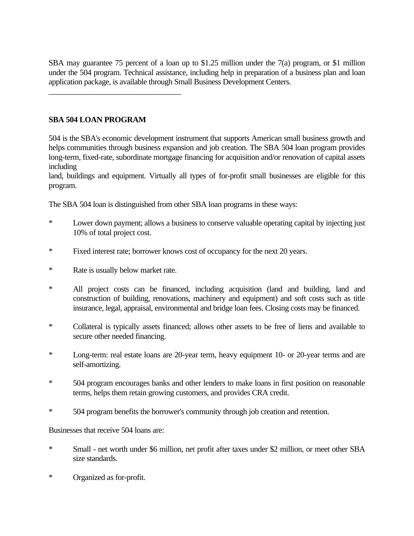SBA may guarantee 75 percent of a loan up to \$1.25 million under the 7(a) program, or \$1 million under the 504 program. Technical assistance, including help in preparation of a business plan and loan application package, is available through Small Business Development Centers.

#### **SBA 504 LOAN PROGRAM**

\_\_\_\_\_\_\_\_\_\_\_\_\_\_\_\_\_\_\_\_\_\_\_\_\_\_\_\_\_\_\_\_\_\_

504 is the SBA's economic development instrument that supports American small business growth and helps communities through business expansion and job creation. The SBA 504 loan program provides long-term, fixed-rate, subordinate mortgage financing for acquisition and/or renovation of capital assets including

land, buildings and equipment. Virtually all types of for-profit small businesses are eligible for this program.

The SBA 504 loan is distinguished from other SBA loan programs in these ways:

- \* Lower down payment; allows a business to conserve valuable operating capital by injecting just 10% of total project cost.
- \* Fixed interest rate; borrower knows cost of occupancy for the next 20 years.
- \* Rate is usually below market rate.
- \* All project costs can be financed, including acquisition (land and building, land and construction of building, renovations, machinery and equipment) and soft costs such as title insurance, legal, appraisal, environmental and bridge loan fees. Closing costs may be financed.
- \* Collateral is typically assets financed; allows other assets to be free of liens and available to secure other needed financing.
- \* Long-term: real estate loans are 20-year term, heavy equipment 10- or 20-year terms and are self-amortizing.
- \* 504 program encourages banks and other lenders to make loans in first position on reasonable terms, helps them retain growing customers, and provides CRA credit.
- \* 504 program benefits the borrower's community through job creation and retention.

Businesses that receive 504 loans are:

- \* Small net worth under \$6 million, net profit after taxes under \$2 million, or meet other SBA size standards.
- \* Organized as for-profit.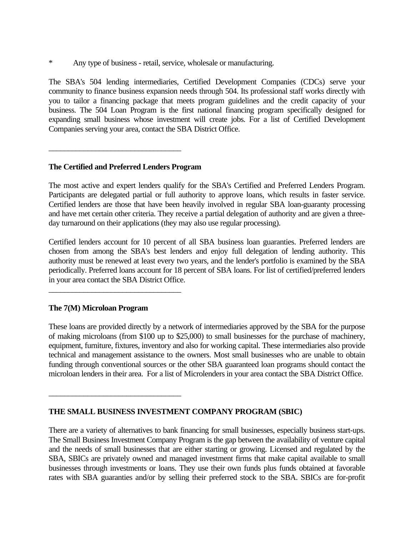\* Any type of business - retail, service, wholesale or manufacturing.

The SBA's 504 lending intermediaries, Certified Development Companies (CDCs) serve your community to finance business expansion needs through 504. Its professional staff works directly with you to tailor a financing package that meets program guidelines and the credit capacity of your business. The 504 Loan Program is the first national financing program specifically designed for expanding small business whose investment will create jobs. For a list of Certified Development Companies serving your area, contact the SBA District Office.

#### **The Certified and Preferred Lenders Program**

\_\_\_\_\_\_\_\_\_\_\_\_\_\_\_\_\_\_\_\_\_\_\_\_\_\_\_\_\_\_\_\_\_\_

The most active and expert lenders qualify for the SBA's Certified and Preferred Lenders Program. Participants are delegated partial or full authority to approve loans, which results in faster service. Certified lenders are those that have been heavily involved in regular SBA loan-guaranty processing and have met certain other criteria. They receive a partial delegation of authority and are given a threeday turnaround on their applications (they may also use regular processing).

Certified lenders account for 10 percent of all SBA business loan guaranties. Preferred lenders are chosen from among the SBA's best lenders and enjoy full delegation of lending authority. This authority must be renewed at least every two years, and the lender's portfolio is examined by the SBA periodically. Preferred loans account for 18 percent of SBA loans. For list of certified/preferred lenders in your area contact the SBA District Office.

#### **The 7(M) Microloan Program**

 $\_$ 

\_\_\_\_\_\_\_\_\_\_\_\_\_\_\_\_\_\_\_\_\_\_\_\_\_\_\_\_\_\_\_\_\_\_

These loans are provided directly by a network of intermediaries approved by the SBA for the purpose of making microloans (from \$100 up to \$25,000) to small businesses for the purchase of machinery, equipment, furniture, fixtures, inventory and also for working capital. These intermediaries also provide technical and management assistance to the owners. Most small businesses who are unable to obtain funding through conventional sources or the other SBA guaranteed loan programs should contact the microloan lenders in their area. For a list of Microlenders in your area contact the SBA District Office.

#### **THE SMALL BUSINESS INVESTMENT COMPANY PROGRAM (SBIC)**

There are a variety of alternatives to bank financing for small businesses, especially business start-ups. The Small Business Investment Company Program is the gap between the availability of venture capital and the needs of small businesses that are either starting or growing. Licensed and regulated by the SBA, SBICs are privately owned and managed investment firms that make capital available to small businesses through investments or loans. They use their own funds plus funds obtained at favorable rates with SBA guaranties and/or by selling their preferred stock to the SBA. SBICs are for-profit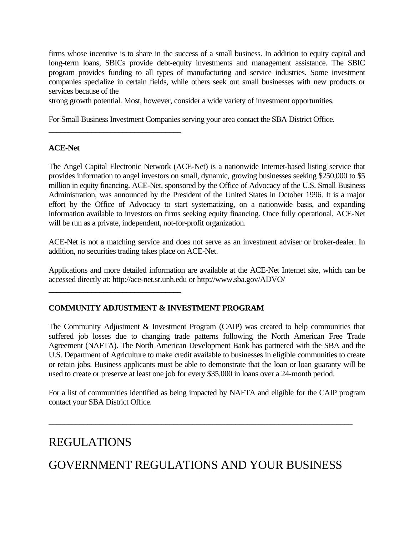firms whose incentive is to share in the success of a small business. In addition to equity capital and long-term loans, SBICs provide debt-equity investments and management assistance. The SBIC program provides funding to all types of manufacturing and service industries. Some investment companies specialize in certain fields, while others seek out small businesses with new products or services because of the

strong growth potential. Most, however, consider a wide variety of investment opportunities.

For Small Business Investment Companies serving your area contact the SBA District Office.

#### **ACE-Net**

\_\_\_\_\_\_\_\_\_\_\_\_\_\_\_\_\_\_\_\_\_\_\_\_\_\_\_\_\_\_\_\_\_\_

 $\_$ 

The Angel Capital Electronic Network (ACE-Net) is a nationwide Internet-based listing service that provides information to angel investors on small, dynamic, growing businesses seeking \$250,000 to \$5 million in equity financing. ACE-Net, sponsored by the Office of Advocacy of the U.S. Small Business Administration, was announced by the President of the United States in October 1996. It is a major effort by the Office of Advocacy to start systematizing, on a nationwide basis, and expanding information available to investors on firms seeking equity financing. Once fully operational, ACE-Net will be run as a private, independent, not-for-profit organization.

ACE-Net is not a matching service and does not serve as an investment adviser or broker-dealer. In addition, no securities trading takes place on ACE-Net.

Applications and more detailed information are available at the ACE-Net Internet site, which can be accessed directly at: http://ace-net.sr.unh.edu or http://www.sba.gov/ADVO/

#### **COMMUNITY ADJUSTMENT & INVESTMENT PROGRAM**

The Community Adjustment & Investment Program (CAIP) was created to help communities that suffered job losses due to changing trade patterns following the North American Free Trade Agreement (NAFTA). The North American Development Bank has partnered with the SBA and the U.S. Department of Agriculture to make credit available to businesses in eligible communities to create or retain jobs. Business applicants must be able to demonstrate that the loan or loan guaranty will be used to create or preserve at least one job for every \$35,000 in loans over a 24-month period.

For a list of communities identified as being impacted by NAFTA and eligible for the CAIP program contact your SBA District Office.

\_\_\_\_\_\_\_\_\_\_\_\_\_\_\_\_\_\_\_\_\_\_\_\_\_\_\_\_\_\_\_\_\_\_\_\_\_\_\_\_\_\_\_\_\_\_\_\_\_\_\_\_\_\_\_\_\_\_\_\_\_\_\_\_\_\_\_\_\_\_\_\_\_\_\_\_\_\_

# REGULATIONS

# GOVERNMENT REGULATIONS AND YOUR BUSINESS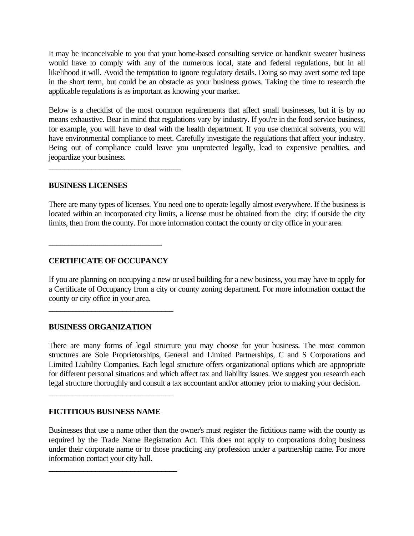It may be inconceivable to you that your home-based consulting service or handknit sweater business would have to comply with any of the numerous local, state and federal regulations, but in all likelihood it will. Avoid the temptation to ignore regulatory details. Doing so may avert some red tape in the short term, but could be an obstacle as your business grows. Taking the time to research the applicable regulations is as important as knowing your market.

Below is a checklist of the most common requirements that affect small businesses, but it is by no means exhaustive. Bear in mind that regulations vary by industry. If you're in the food service business, for example, you will have to deal with the health department. If you use chemical solvents, you will have environmental compliance to meet. Carefully investigate the regulations that affect your industry. Being out of compliance could leave you unprotected legally, lead to expensive penalties, and jeopardize your business.

#### **BUSINESS LICENSES**

There are many types of licenses. You need one to operate legally almost everywhere. If the business is located within an incorporated city limits, a license must be obtained from the city; if outside the city limits, then from the county. For more information contact the county or city office in your area.

#### **CERTIFICATE OF OCCUPANCY**

\_\_\_\_\_\_\_\_\_\_\_\_\_\_\_\_\_\_\_\_\_\_\_\_\_\_\_\_\_\_\_\_

\_\_\_\_\_\_\_\_\_\_\_\_\_\_\_\_\_\_\_\_\_\_\_\_\_\_\_\_\_

\_\_\_\_\_\_\_\_\_\_\_\_\_\_\_\_\_\_\_\_\_\_\_\_\_\_\_\_\_\_\_\_\_\_

If you are planning on occupying a new or used building for a new business, you may have to apply for a Certificate of Occupancy from a city or county zoning department. For more information contact the county or city office in your area.

#### **BUSINESS ORGANIZATION**

There are many forms of legal structure you may choose for your business. The most common structures are Sole Proprietorships, General and Limited Partnerships, C and S Corporations and Limited Liability Companies. Each legal structure offers organizational options which are appropriate for different personal situations and which affect tax and liability issues. We suggest you research each legal structure thoroughly and consult a tax accountant and/or attorney prior to making your decision.

#### **FICTITIOUS BUSINESS NAME**

\_\_\_\_\_\_\_\_\_\_\_\_\_\_\_\_\_\_\_\_\_\_\_\_\_\_\_\_\_\_\_\_

\_\_\_\_\_\_\_\_\_\_\_\_\_\_\_\_\_\_\_\_\_\_\_\_\_\_\_\_\_\_\_\_\_

Businesses that use a name other than the owner's must register the fictitious name with the county as required by the Trade Name Registration Act. This does not apply to corporations doing business under their corporate name or to those practicing any profession under a partnership name. For more information contact your city hall.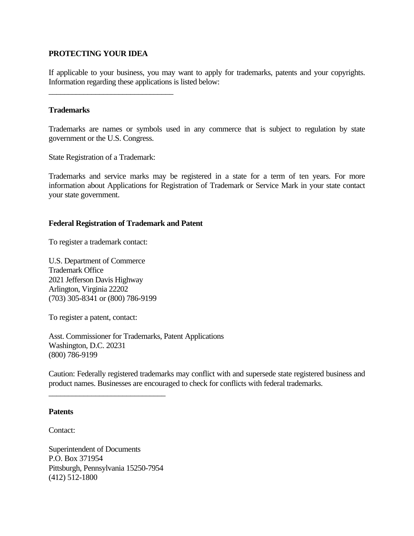#### **PROTECTING YOUR IDEA**

\_\_\_\_\_\_\_\_\_\_\_\_\_\_\_\_\_\_\_\_\_\_\_\_\_\_\_\_\_\_\_\_

If applicable to your business, you may want to apply for trademarks, patents and your copyrights. Information regarding these applications is listed below:

#### **Trademarks**

Trademarks are names or symbols used in any commerce that is subject to regulation by state government or the U.S. Congress.

State Registration of a Trademark:

Trademarks and service marks may be registered in a state for a term of ten years. For more information about Applications for Registration of Trademark or Service Mark in your state contact your state government.

#### **Federal Registration of Trademark and Patent**

To register a trademark contact:

U.S. Department of Commerce Trademark Office 2021 Jefferson Davis Highway Arlington, Virginia 22202 (703) 305-8341 or (800) 786-9199

To register a patent, contact:

Asst. Commissioner for Trademarks, Patent Applications Washington, D.C. 20231 (800) 786-9199

Caution: Federally registered trademarks may conflict with and supersede state registered business and product names. Businesses are encouraged to check for conflicts with federal trademarks.

#### **Patents**

Contact:

Superintendent of Documents P.O. Box 371954 Pittsburgh, Pennsylvania 15250-7954 (412) 512-1800

\_\_\_\_\_\_\_\_\_\_\_\_\_\_\_\_\_\_\_\_\_\_\_\_\_\_\_\_\_\_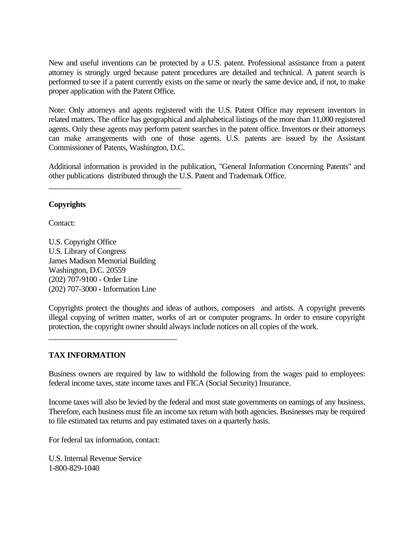New and useful inventions can be protected by a U.S. patent. Professional assistance from a patent attorney is strongly urged because patent procedures are detailed and technical. A patent search is performed to see if a patent currently exists on the same or nearly the same device and, if not, to make proper application with the Patent Office.

Note: Only attorneys and agents registered with the U.S. Patent Office may represent inventors in related matters. The office has geographical and alphabetical listings of the more than 11,000 registered agents. Only these agents may perform patent searches in the patent office. Inventors or their attorneys can make arrangements with one of those agents. U.S. patents are issued by the Assistant Commissioner of Patents, Washington, D.C.

Additional information is provided in the publication, "General Information Concerning Patents" and other publications distributed through the U.S. Patent and Trademark Office.

# **Copyrights**

Contact:

U.S. Copyright Office U.S. Library of Congress James Madison Memorial Building Washington, D.C. 20559 (202) 707-9100 - Order Line (202) 707-3000 - Information Line

\_\_\_\_\_\_\_\_\_\_\_\_\_\_\_\_\_\_\_\_\_\_\_\_\_\_\_\_\_\_\_\_\_

 $\_$ 

Copyrights protect the thoughts and ideas of authors, composers and artists. A copyright prevents illegal copying of written matter, works of art or computer programs. In order to ensure copyright protection, the copyright owner should always include notices on all copies of the work.

#### **TAX INFORMATION**

Business owners are required by law to withhold the following from the wages paid to employees: federal income taxes, state income taxes and FICA (Social Security) Insurance.

Income taxes will also be levied by the federal and most state governments on earnings of any business. Therefore, each business must file an income tax return with both agencies. Businesses may be required to file estimated tax returns and pay estimated taxes on a quarterly basis.

For federal tax information, contact:

U.S. Internal Revenue Service 1-800-829-1040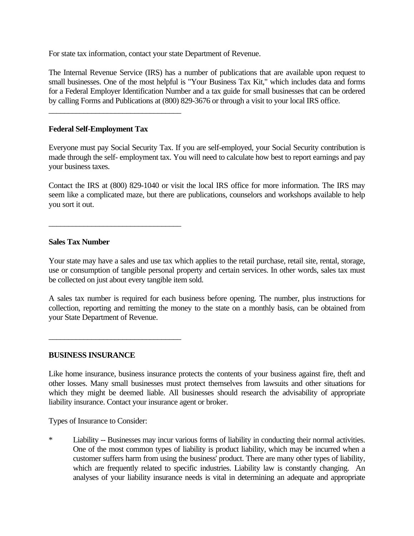For state tax information, contact your state Department of Revenue.

The Internal Revenue Service (IRS) has a number of publications that are available upon request to small businesses. One of the most helpful is "Your Business Tax Kit," which includes data and forms for a Federal Employer Identification Number and a tax guide for small businesses that can be ordered by calling Forms and Publications at (800) 829-3676 or through a visit to your local IRS office.

#### **Federal Self-Employment Tax**

 $\_$ 

\_\_\_\_\_\_\_\_\_\_\_\_\_\_\_\_\_\_\_\_\_\_\_\_\_\_\_\_\_\_\_\_\_\_

\_\_\_\_\_\_\_\_\_\_\_\_\_\_\_\_\_\_\_\_\_\_\_\_\_\_\_\_\_\_\_\_\_\_

Everyone must pay Social Security Tax. If you are self-employed, your Social Security contribution is made through the self- employment tax. You will need to calculate how best to report earnings and pay your business taxes.

Contact the IRS at (800) 829-1040 or visit the local IRS office for more information. The IRS may seem like a complicated maze, but there are publications, counselors and workshops available to help you sort it out.

#### **Sales Tax Number**

Your state may have a sales and use tax which applies to the retail purchase, retail site, rental, storage, use or consumption of tangible personal property and certain services. In other words, sales tax must be collected on just about every tangible item sold.

A sales tax number is required for each business before opening. The number, plus instructions for collection, reporting and remitting the money to the state on a monthly basis, can be obtained from your State Department of Revenue.

#### **BUSINESS INSURANCE**

Like home insurance, business insurance protects the contents of your business against fire, theft and other losses. Many small businesses must protect themselves from lawsuits and other situations for which they might be deemed liable. All businesses should research the advisability of appropriate liability insurance. Contact your insurance agent or broker.

Types of Insurance to Consider:

\* Liability -- Businesses may incur various forms of liability in conducting their normal activities. One of the most common types of liability is product liability, which may be incurred when a customer suffers harm from using the business' product. There are many other types of liability, which are frequently related to specific industries. Liability law is constantly changing. An analyses of your liability insurance needs is vital in determining an adequate and appropriate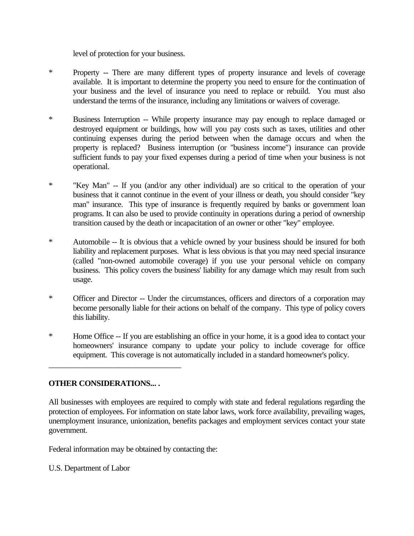level of protection for your business.

- \* Property -- There are many different types of property insurance and levels of coverage available. It is important to determine the property you need to ensure for the continuation of your business and the level of insurance you need to replace or rebuild. You must also understand the terms of the insurance, including any limitations or waivers of coverage.
- \* Business Interruption -- While property insurance may pay enough to replace damaged or destroyed equipment or buildings, how will you pay costs such as taxes, utilities and other continuing expenses during the period between when the damage occurs and when the property is replaced? Business interruption (or "business income") insurance can provide sufficient funds to pay your fixed expenses during a period of time when your business is not operational.
- \* "Key Man" -- If you (and/or any other individual) are so critical to the operation of your business that it cannot continue in the event of your illness or death, you should consider "key man" insurance. This type of insurance is frequently required by banks or government loan programs. It can also be used to provide continuity in operations during a period of ownership transition caused by the death or incapacitation of an owner or other "key" employee.
- \* Automobile -- It is obvious that a vehicle owned by your business should be insured for both liability and replacement purposes. What is less obvious is that you may need special insurance (called "non-owned automobile coverage) if you use your personal vehicle on company business. This policy covers the business' liability for any damage which may result from such usage.
- \* Officer and Director -- Under the circumstances, officers and directors of a corporation may become personally liable for their actions on behalf of the company. This type of policy covers this liability.
- \* Home Office -- If you are establishing an office in your home, it is a good idea to contact your homeowners' insurance company to update your policy to include coverage for office equipment. This coverage is not automatically included in a standard homeowner's policy.

# **OTHER CONSIDERATIONS... .**

 $\_$ 

All businesses with employees are required to comply with state and federal regulations regarding the protection of employees. For information on state labor laws, work force availability, prevailing wages, unemployment insurance, unionization, benefits packages and employment services contact your state government.

Federal information may be obtained by contacting the:

U.S. Department of Labor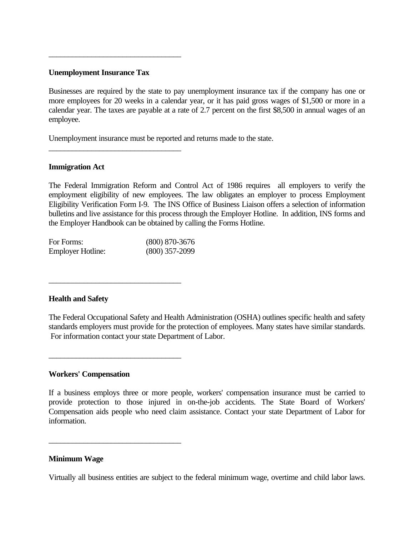#### **Unemployment Insurance Tax**

 $\_$ 

\_\_\_\_\_\_\_\_\_\_\_\_\_\_\_\_\_\_\_\_\_\_\_\_\_\_\_\_\_\_\_\_\_\_

Businesses are required by the state to pay unemployment insurance tax if the company has one or more employees for 20 weeks in a calendar year, or it has paid gross wages of \$1,500 or more in a calendar year. The taxes are payable at a rate of 2.7 percent on the first \$8,500 in annual wages of an employee.

Unemployment insurance must be reported and returns made to the state.

#### **Immigration Act**

The Federal Immigration Reform and Control Act of 1986 requires all employers to verify the employment eligibility of new employees. The law obligates an employer to process Employment Eligibility Verification Form I-9. The INS Office of Business Liaison offers a selection of information bulletins and live assistance for this process through the Employer Hotline. In addition, INS forms and the Employer Handbook can be obtained by calling the Forms Hotline.

| For Forms:               | $(800)$ 870-3676 |
|--------------------------|------------------|
| <b>Employer Hotline:</b> | $(800)$ 357-2099 |

 $\_$ 

 $\_$ 

 $\_$ 

#### **Health and Safety**

The Federal Occupational Safety and Health Administration (OSHA) outlines specific health and safety standards employers must provide for the protection of employees. Many states have similar standards. For information contact your state Department of Labor.

#### **Workers' Compensation**

If a business employs three or more people, workers' compensation insurance must be carried to provide protection to those injured in on-the-job accidents. The State Board of Workers' Compensation aids people who need claim assistance. Contact your state Department of Labor for information.

#### **Minimum Wage**

Virtually all business entities are subject to the federal minimum wage, overtime and child labor laws.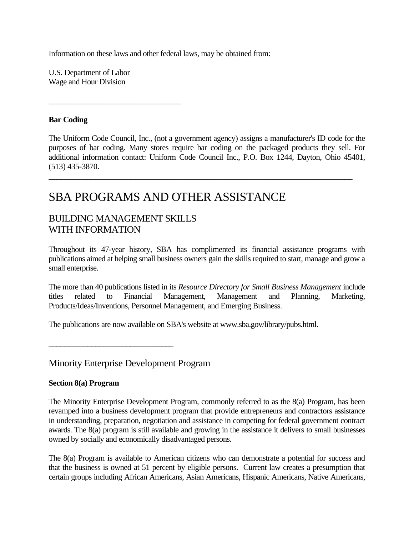Information on these laws and other federal laws, may be obtained from:

U.S. Department of Labor Wage and Hour Division

 $\_$ 

#### **Bar Coding**

The Uniform Code Council, Inc., (not a government agency) assigns a manufacturer's ID code for the purposes of bar coding. Many stores require bar coding on the packaged products they sell. For additional information contact: Uniform Code Council Inc., P.O. Box 1244, Dayton, Ohio 45401, (513) 435-3870.

\_\_\_\_\_\_\_\_\_\_\_\_\_\_\_\_\_\_\_\_\_\_\_\_\_\_\_\_\_\_\_\_\_\_\_\_\_\_\_\_\_\_\_\_\_\_\_\_\_\_\_\_\_\_\_\_\_\_\_\_\_\_\_\_\_\_\_\_\_\_\_\_\_\_\_\_\_\_

# SBA PROGRAMS AND OTHER ASSISTANCE

# BUILDING MANAGEMENT SKILLS WITH INFORMATION

Throughout its 47-year history, SBA has complimented its financial assistance programs with publications aimed at helping small business owners gain the skills required to start, manage and grow a small enterprise.

The more than 40 publications listed in its *Resource Directory for Small Business Management* include titles related to Financial Management, Management and Planning, Marketing, Products/Ideas/Inventions, Personnel Management, and Emerging Business.

The publications are now available on SBA's website at www.sba.gov/library/pubs.html.

Minority Enterprise Development Program

\_\_\_\_\_\_\_\_\_\_\_\_\_\_\_\_\_\_\_\_\_\_\_\_\_\_\_\_\_\_\_\_

# **Section 8(a) Program**

The Minority Enterprise Development Program, commonly referred to as the 8(a) Program, has been revamped into a business development program that provide entrepreneurs and contractors assistance in understanding, preparation, negotiation and assistance in competing for federal government contract awards. The 8(a) program is still available and growing in the assistance it delivers to small businesses owned by socially and economically disadvantaged persons.

The 8(a) Program is available to American citizens who can demonstrate a potential for success and that the business is owned at 51 percent by eligible persons. Current law creates a presumption that certain groups including African Americans, Asian Americans, Hispanic Americans, Native Americans,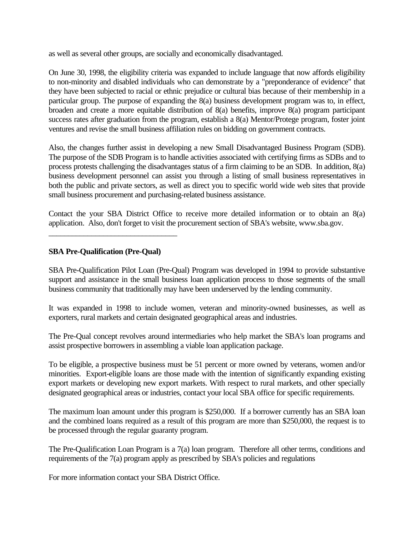as well as several other groups, are socially and economically disadvantaged.

On June 30, 1998, the eligibility criteria was expanded to include language that now affords eligibility to non-minority and disabled individuals who can demonstrate by a "preponderance of evidence" that they have been subjected to racial or ethnic prejudice or cultural bias because of their membership in a particular group. The purpose of expanding the 8(a) business development program was to, in effect, broaden and create a more equitable distribution of 8(a) benefits, improve 8(a) program participant success rates after graduation from the program, establish a 8(a) Mentor/Protege program, foster joint ventures and revise the small business affiliation rules on bidding on government contracts.

Also, the changes further assist in developing a new Small Disadvantaged Business Program (SDB). The purpose of the SDB Program is to handle activities associated with certifying firms as SDBs and to process protests challenging the disadvantages status of a firm claiming to be an SDB. In addition, 8(a) business development personnel can assist you through a listing of small business representatives in both the public and private sectors, as well as direct you to specific world wide web sites that provide small business procurement and purchasing-related business assistance.

Contact the your SBA District Office to receive more detailed information or to obtain an 8(a) application. Also, don't forget to visit the procurement section of SBA's website, www.sba.gov.

# **SBA Pre-Qualification (Pre-Qual)**

\_\_\_\_\_\_\_\_\_\_\_\_\_\_\_\_\_\_\_\_\_\_\_\_\_\_\_\_\_\_\_\_\_

SBA Pre-Qualification Pilot Loan (Pre-Qual) Program was developed in 1994 to provide substantive support and assistance in the small business loan application process to those segments of the small business community that traditionally may have been underserved by the lending community.

It was expanded in 1998 to include women, veteran and minority-owned businesses, as well as exporters, rural markets and certain designated geographical areas and industries.

The Pre-Qual concept revolves around intermediaries who help market the SBA's loan programs and assist prospective borrowers in assembling a viable loan application package.

To be eligible, a prospective business must be 51 percent or more owned by veterans, women and/or minorities. Export-eligible loans are those made with the intention of significantly expanding existing export markets or developing new export markets. With respect to rural markets, and other specially designated geographical areas or industries, contact your local SBA office for specific requirements.

The maximum loan amount under this program is \$250,000. If a borrower currently has an SBA loan and the combined loans required as a result of this program are more than \$250,000, the request is to be processed through the regular guaranty program.

The Pre-Qualification Loan Program is a 7(a) loan program. Therefore all other terms, conditions and requirements of the 7(a) program apply as prescribed by SBA's policies and regulations

For more information contact your SBA District Office.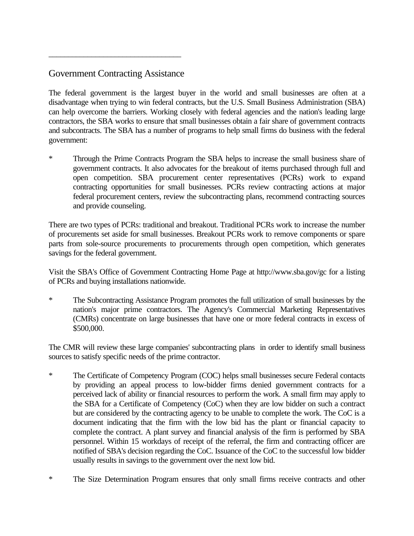# Government Contracting Assistance

 $\_$ 

The federal government is the largest buyer in the world and small businesses are often at a disadvantage when trying to win federal contracts, but the U.S. Small Business Administration (SBA) can help overcome the barriers. Working closely with federal agencies and the nation's leading large contractors, the SBA works to ensure that small businesses obtain a fair share of government contracts and subcontracts. The SBA has a number of programs to help small firms do business with the federal government:

\* Through the Prime Contracts Program the SBA helps to increase the small business share of government contracts. It also advocates for the breakout of items purchased through full and open competition. SBA procurement center representatives (PCRs) work to expand contracting opportunities for small businesses. PCRs review contracting actions at major federal procurement centers, review the subcontracting plans, recommend contracting sources and provide counseling.

There are two types of PCRs: traditional and breakout. Traditional PCRs work to increase the number of procurements set aside for small businesses. Breakout PCRs work to remove components or spare parts from sole-source procurements to procurements through open competition, which generates savings for the federal government.

Visit the SBA's Office of Government Contracting Home Page at http://www.sba.gov/gc for a listing of PCRs and buying installations nationwide.

\* The Subcontracting Assistance Program promotes the full utilization of small businesses by the nation's major prime contractors. The Agency's Commercial Marketing Representatives (CMRs) concentrate on large businesses that have one or more federal contracts in excess of \$500,000.

The CMR will review these large companies' subcontracting plans in order to identify small business sources to satisfy specific needs of the prime contractor.

- \* The Certificate of Competency Program (COC) helps small businesses secure Federal contacts by providing an appeal process to low-bidder firms denied government contracts for a perceived lack of ability or financial resources to perform the work. A small firm may apply to the SBA for a Certificate of Competency (CoC) when they are low bidder on such a contract but are considered by the contracting agency to be unable to complete the work. The CoC is a document indicating that the firm with the low bid has the plant or financial capacity to complete the contract. A plant survey and financial analysis of the firm is performed by SBA personnel. Within 15 workdays of receipt of the referral, the firm and contracting officer are notified of SBA's decision regarding the CoC. Issuance of the CoC to the successful low bidder usually results in savings to the government over the next low bid.
- \* The Size Determination Program ensures that only small firms receive contracts and other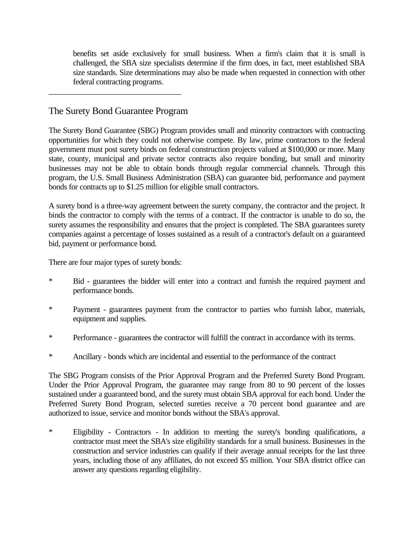benefits set aside exclusively for small business. When a firm's claim that it is small is challenged, the SBA size specialists determine if the firm does, in fact, meet established SBA size standards. Size determinations may also be made when requested in connection with other federal contracting programs.

# The Surety Bond Guarantee Program

\_\_\_\_\_\_\_\_\_\_\_\_\_\_\_\_\_\_\_\_\_\_\_\_\_\_\_\_\_\_\_\_\_\_

The Surety Bond Guarantee (SBG) Program provides small and minority contractors with contracting opportunities for which they could not otherwise compete. By law, prime contractors to the federal government must post surety binds on federal construction projects valued at \$100,000 or more. Many state, county, municipal and private sector contracts also require bonding, but small and minority businesses may not be able to obtain bonds through regular commercial channels. Through this program, the U.S. Small Business Administration (SBA) can guarantee bid, performance and payment bonds for contracts up to \$1.25 million for eligible small contractors.

A surety bond is a three-way agreement between the surety company, the contractor and the project. It binds the contractor to comply with the terms of a contract. If the contractor is unable to do so, the surety assumes the responsibility and ensures that the project is completed. The SBA guarantees surety companies against a percentage of losses sustained as a result of a contractor's default on a guaranteed bid, payment or performance bond.

There are four major types of surety bonds:

- \* Bid guarantees the bidder will enter into a contract and furnish the required payment and performance bonds.
- \* Payment guarantees payment from the contractor to parties who furnish labor, materials, equipment and supplies.
- \* Performance guarantees the contractor will fulfill the contract in accordance with its terms.
- \* Ancillary bonds which are incidental and essential to the performance of the contract

The SBG Program consists of the Prior Approval Program and the Preferred Surety Bond Program. Under the Prior Approval Program, the guarantee may range from 80 to 90 percent of the losses sustained under a guaranteed bond, and the surety must obtain SBA approval for each bond. Under the Preferred Surety Bond Program, selected sureties receive a 70 percent bond guarantee and are authorized to issue, service and monitor bonds without the SBA's approval.

\* Eligibility - Contractors - In addition to meeting the surety's bonding qualifications, a contractor must meet the SBA's size eligibility standards for a small business. Businesses in the construction and service industries can qualify if their average annual receipts for the last three years, including those of any affiliates, do not exceed \$5 million. Your SBA district office can answer any questions regarding eligibility.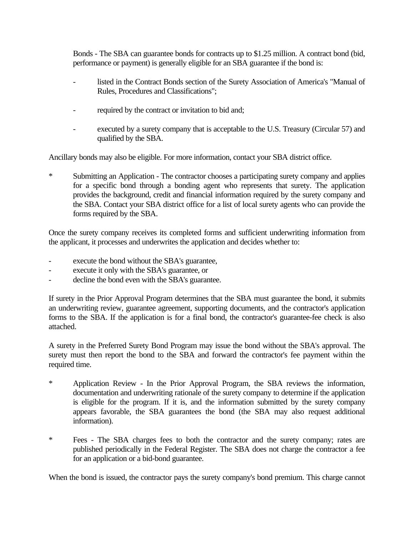Bonds - The SBA can guarantee bonds for contracts up to \$1.25 million. A contract bond (bid, performance or payment) is generally eligible for an SBA guarantee if the bond is:

- listed in the Contract Bonds section of the Surety Association of America's "Manual of Rules, Procedures and Classifications";
- required by the contract or invitation to bid and;
- executed by a surety company that is acceptable to the U.S. Treasury (Circular 57) and qualified by the SBA.

Ancillary bonds may also be eligible. For more information, contact your SBA district office.

\* Submitting an Application - The contractor chooses a participating surety company and applies for a specific bond through a bonding agent who represents that surety. The application provides the background, credit and financial information required by the surety company and the SBA. Contact your SBA district office for a list of local surety agents who can provide the forms required by the SBA.

Once the surety company receives its completed forms and sufficient underwriting information from the applicant, it processes and underwrites the application and decides whether to:

- execute the bond without the SBA's guarantee,
- execute it only with the SBA's guarantee, or
- decline the bond even with the SBA's guarantee.

If surety in the Prior Approval Program determines that the SBA must guarantee the bond, it submits an underwriting review, guarantee agreement, supporting documents, and the contractor's application forms to the SBA. If the application is for a final bond, the contractor's guarantee-fee check is also attached.

A surety in the Preferred Surety Bond Program may issue the bond without the SBA's approval. The surety must then report the bond to the SBA and forward the contractor's fee payment within the required time.

- \* Application Review In the Prior Approval Program, the SBA reviews the information, documentation and underwriting rationale of the surety company to determine if the application is eligible for the program. If it is, and the information submitted by the surety company appears favorable, the SBA guarantees the bond (the SBA may also request additional information).
- \* Fees The SBA charges fees to both the contractor and the surety company; rates are published periodically in the Federal Register. The SBA does not charge the contractor a fee for an application or a bid-bond guarantee.

When the bond is issued, the contractor pays the surety company's bond premium. This charge cannot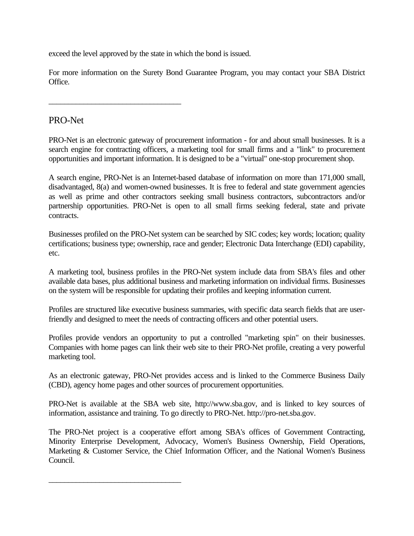exceed the level approved by the state in which the bond is issued.

 $\_$ 

 $\_$ 

For more information on the Surety Bond Guarantee Program, you may contact your SBA District Office.

# PRO-Net

PRO-Net is an electronic gateway of procurement information - for and about small businesses. It is a search engine for contracting officers, a marketing tool for small firms and a "link" to procurement opportunities and important information. It is designed to be a "virtual" one-stop procurement shop.

A search engine, PRO-Net is an Internet-based database of information on more than 171,000 small, disadvantaged, 8(a) and women-owned businesses. It is free to federal and state government agencies as well as prime and other contractors seeking small business contractors, subcontractors and/or partnership opportunities. PRO-Net is open to all small firms seeking federal, state and private contracts.

Businesses profiled on the PRO-Net system can be searched by SIC codes; key words; location; quality certifications; business type; ownership, race and gender; Electronic Data Interchange (EDI) capability, etc.

A marketing tool, business profiles in the PRO-Net system include data from SBA's files and other available data bases, plus additional business and marketing information on individual firms. Businesses on the system will be responsible for updating their profiles and keeping information current.

Profiles are structured like executive business summaries, with specific data search fields that are userfriendly and designed to meet the needs of contracting officers and other potential users.

Profiles provide vendors an opportunity to put a controlled "marketing spin" on their businesses. Companies with home pages can link their web site to their PRO-Net profile, creating a very powerful marketing tool.

As an electronic gateway, PRO-Net provides access and is linked to the Commerce Business Daily (CBD), agency home pages and other sources of procurement opportunities.

PRO-Net is available at the SBA web site, http://www.sba.gov, and is linked to key sources of information, assistance and training. To go directly to PRO-Net. http://pro-net.sba.gov.

The PRO-Net project is a cooperative effort among SBA's offices of Government Contracting, Minority Enterprise Development, Advocacy, Women's Business Ownership, Field Operations, Marketing & Customer Service, the Chief Information Officer, and the National Women's Business Council.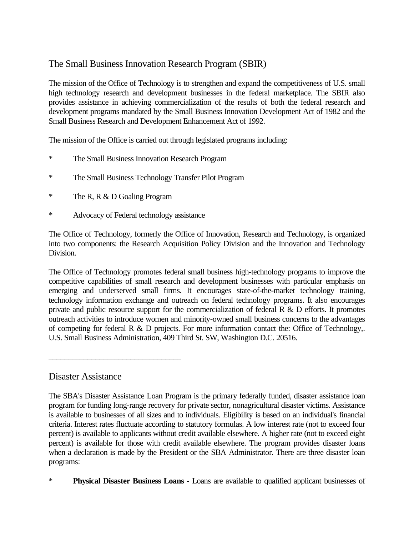# The Small Business Innovation Research Program (SBIR)

The mission of the Office of Technology is to strengthen and expand the competitiveness of U.S. small high technology research and development businesses in the federal marketplace. The SBIR also provides assistance in achieving commercialization of the results of both the federal research and development programs mandated by the Small Business Innovation Development Act of 1982 and the Small Business Research and Development Enhancement Act of 1992.

The mission of the Office is carried out through legislated programs including:

- \* The Small Business Innovation Research Program
- \* The Small Business Technology Transfer Pilot Program
- \* The R, R & D Goaling Program
- \* Advocacy of Federal technology assistance

The Office of Technology, formerly the Office of Innovation, Research and Technology, is organized into two components: the Research Acquisition Policy Division and the Innovation and Technology Division.

The Office of Technology promotes federal small business high-technology programs to improve the competitive capabilities of small research and development businesses with particular emphasis on emerging and underserved small firms. It encourages state-of-the-market technology training, technology information exchange and outreach on federal technology programs. It also encourages private and public resource support for the commercialization of federal R & D efforts. It promotes outreach activities to introduce women and minority-owned small business concerns to the advantages of competing for federal R & D projects. For more information contact the: Office of Technology,. U.S. Small Business Administration, 409 Third St. SW, Washington D.C. 20516.

# Disaster Assistance

\_\_\_\_\_\_\_\_\_\_\_\_\_\_\_\_\_\_\_\_\_\_\_\_\_\_\_\_\_\_\_\_\_\_

The SBA's Disaster Assistance Loan Program is the primary federally funded, disaster assistance loan program for funding long-range recovery for private sector, nonagricultural disaster victims. Assistance is available to businesses of all sizes and to individuals. Eligibility is based on an individual's financial criteria. Interest rates fluctuate according to statutory formulas. A low interest rate (not to exceed four percent) is available to applicants without credit available elsewhere. A higher rate (not to exceed eight percent) is available for those with credit available elsewhere. The program provides disaster loans when a declaration is made by the President or the SBA Administrator. There are three disaster loan programs:

\* **Physical Disaster Business Loans** - Loans are available to qualified applicant businesses of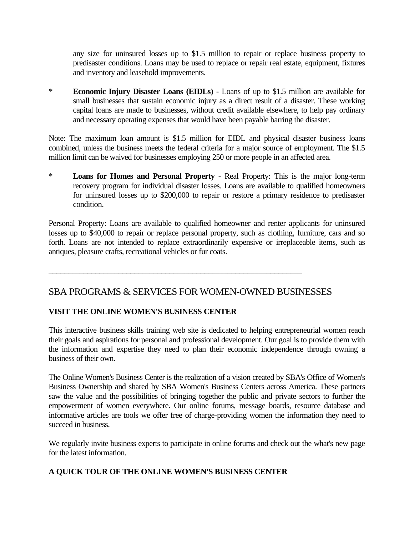any size for uninsured losses up to \$1.5 million to repair or replace business property to predisaster conditions. Loans may be used to replace or repair real estate, equipment, fixtures and inventory and leasehold improvements.

\* **Economic Injury Disaster Loans (EIDLs)** - Loans of up to \$1.5 million are available for small businesses that sustain economic injury as a direct result of a disaster. These working capital loans are made to businesses, without credit available elsewhere, to help pay ordinary and necessary operating expenses that would have been payable barring the disaster.

Note: The maximum loan amount is \$1.5 million for EIDL and physical disaster business loans combined, unless the business meets the federal criteria for a major source of employment. The \$1.5 million limit can be waived for businesses employing 250 or more people in an affected area.

\* **Loans for Homes and Personal Property** - Real Property: This is the major long-term recovery program for individual disaster losses. Loans are available to qualified homeowners for uninsured losses up to \$200,000 to repair or restore a primary residence to predisaster condition.

Personal Property: Loans are available to qualified homeowner and renter applicants for uninsured losses up to \$40,000 to repair or replace personal property, such as clothing, furniture, cars and so forth. Loans are not intended to replace extraordinarily expensive or irreplaceable items, such as antiques, pleasure crafts, recreational vehicles or fur coats.

# SBA PROGRAMS & SERVICES FOR WOMEN-OWNED BUSINESSES

\_\_\_\_\_\_\_\_\_\_\_\_\_\_\_\_\_\_\_\_\_\_\_\_\_\_\_\_\_\_\_\_\_\_\_\_\_\_\_\_\_\_\_\_\_\_\_\_\_\_\_\_\_\_\_\_\_\_\_\_\_\_\_\_\_

# **VISIT THE ONLINE WOMEN'S BUSINESS CENTER**

This interactive business skills training web site is dedicated to helping entrepreneurial women reach their goals and aspirations for personal and professional development. Our goal is to provide them with the information and expertise they need to plan their economic independence through owning a business of their own.

The Online Women's Business Center is the realization of a vision created by SBA's Office of Women's Business Ownership and shared by SBA Women's Business Centers across America. These partners saw the value and the possibilities of bringing together the public and private sectors to further the empowerment of women everywhere. Our online forums, message boards, resource database and informative articles are tools we offer free of charge-providing women the information they need to succeed in business.

We regularly invite business experts to participate in online forums and check out the what's new page for the latest information.

# **A QUICK TOUR OF THE ONLINE WOMEN'S BUSINESS CENTER**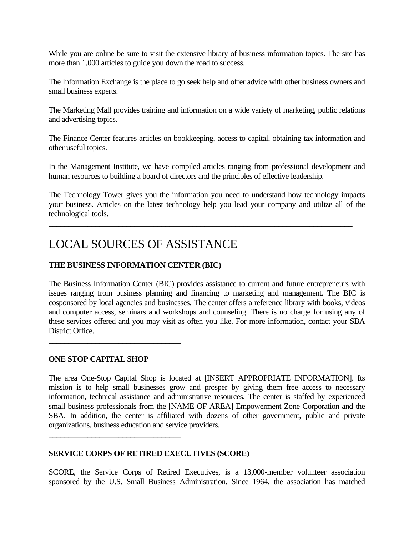While you are online be sure to visit the extensive library of business information topics. The site has more than 1,000 articles to guide you down the road to success.

The Information Exchange is the place to go seek help and offer advice with other business owners and small business experts.

The Marketing Mall provides training and information on a wide variety of marketing, public relations and advertising topics.

The Finance Center features articles on bookkeeping, access to capital, obtaining tax information and other useful topics.

In the Management Institute, we have compiled articles ranging from professional development and human resources to building a board of directors and the principles of effective leadership.

The Technology Tower gives you the information you need to understand how technology impacts your business. Articles on the latest technology help you lead your company and utilize all of the technological tools.

\_\_\_\_\_\_\_\_\_\_\_\_\_\_\_\_\_\_\_\_\_\_\_\_\_\_\_\_\_\_\_\_\_\_\_\_\_\_\_\_\_\_\_\_\_\_\_\_\_\_\_\_\_\_\_\_\_\_\_\_\_\_\_\_\_\_\_\_\_\_\_\_\_\_\_\_\_\_

# LOCAL SOURCES OF ASSISTANCE

# **THE BUSINESS INFORMATION CENTER (BIC)**

The Business Information Center (BIC) provides assistance to current and future entrepreneurs with issues ranging from business planning and financing to marketing and management. The BIC is cosponsored by local agencies and businesses. The center offers a reference library with books, videos and computer access, seminars and workshops and counseling. There is no charge for using any of these services offered and you may visit as often you like. For more information, contact your SBA District Office.

#### **ONE STOP CAPITAL SHOP**

 $\_$ 

 $\_$ 

The area One-Stop Capital Shop is located at [INSERT APPROPRIATE INFORMATION]. Its mission is to help small businesses grow and prosper by giving them free access to necessary information, technical assistance and administrative resources. The center is staffed by experienced small business professionals from the [NAME OF AREA] Empowerment Zone Corporation and the SBA. In addition, the center is affiliated with dozens of other government, public and private organizations, business education and service providers.

#### **SERVICE CORPS OF RETIRED EXECUTIVES (SCORE)**

SCORE, the Service Corps of Retired Executives, is a 13,000-member volunteer association sponsored by the U.S. Small Business Administration. Since 1964, the association has matched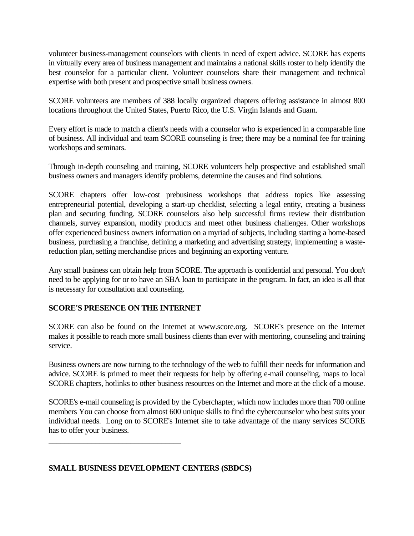volunteer business-management counselors with clients in need of expert advice. SCORE has experts in virtually every area of business management and maintains a national skills roster to help identify the best counselor for a particular client. Volunteer counselors share their management and technical expertise with both present and prospective small business owners.

SCORE volunteers are members of 388 locally organized chapters offering assistance in almost 800 locations throughout the United States, Puerto Rico, the U.S. Virgin Islands and Guam.

Every effort is made to match a client's needs with a counselor who is experienced in a comparable line of business. All individual and team SCORE counseling is free; there may be a nominal fee for training workshops and seminars.

Through in-depth counseling and training, SCORE volunteers help prospective and established small business owners and managers identify problems, determine the causes and find solutions.

SCORE chapters offer low-cost prebusiness workshops that address topics like assessing entrepreneurial potential, developing a start-up checklist, selecting a legal entity, creating a business plan and securing funding. SCORE counselors also help successful firms review their distribution channels, survey expansion, modify products and meet other business challenges. Other workshops offer experienced business owners information on a myriad of subjects, including starting a home-based business, purchasing a franchise, defining a marketing and advertising strategy, implementing a wastereduction plan, setting merchandise prices and beginning an exporting venture.

Any small business can obtain help from SCORE. The approach is confidential and personal. You don't need to be applying for or to have an SBA loan to participate in the program. In fact, an idea is all that is necessary for consultation and counseling.

# **SCORE'S PRESENCE ON THE INTERNET**

 $\_$ 

SCORE can also be found on the Internet at www.score.org. SCORE's presence on the Internet makes it possible to reach more small business clients than ever with mentoring, counseling and training service.

Business owners are now turning to the technology of the web to fulfill their needs for information and advice. SCORE is primed to meet their requests for help by offering e-mail counseling, maps to local SCORE chapters, hotlinks to other business resources on the Internet and more at the click of a mouse.

SCORE's e-mail counseling is provided by the Cyberchapter, which now includes more than 700 online members You can choose from almost 600 unique skills to find the cybercounselor who best suits your individual needs. Long on to SCORE's Internet site to take advantage of the many services SCORE has to offer your business.

**SMALL BUSINESS DEVELOPMENT CENTERS (SBDCS)**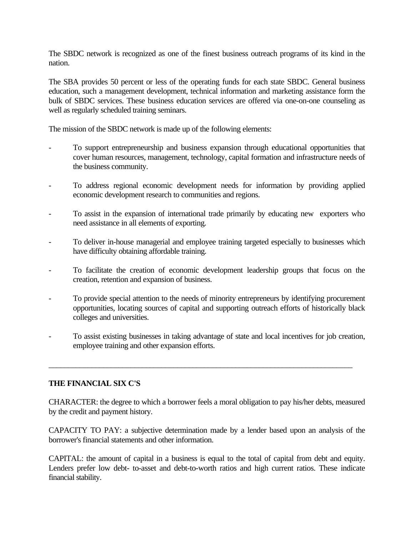The SBDC network is recognized as one of the finest business outreach programs of its kind in the nation.

The SBA provides 50 percent or less of the operating funds for each state SBDC. General business education, such a management development, technical information and marketing assistance form the bulk of SBDC services. These business education services are offered via one-on-one counseling as well as regularly scheduled training seminars.

The mission of the SBDC network is made up of the following elements:

- To support entrepreneurship and business expansion through educational opportunities that cover human resources, management, technology, capital formation and infrastructure needs of the business community.
- To address regional economic development needs for information by providing applied economic development research to communities and regions.
- To assist in the expansion of international trade primarily by educating new exporters who need assistance in all elements of exporting.
- To deliver in-house managerial and employee training targeted especially to businesses which have difficulty obtaining affordable training.
- To facilitate the creation of economic development leadership groups that focus on the creation, retention and expansion of business.
- To provide special attention to the needs of minority entrepreneurs by identifying procurement opportunities, locating sources of capital and supporting outreach efforts of historically black colleges and universities.
- To assist existing businesses in taking advantage of state and local incentives for job creation, employee training and other expansion efforts.

\_\_\_\_\_\_\_\_\_\_\_\_\_\_\_\_\_\_\_\_\_\_\_\_\_\_\_\_\_\_\_\_\_\_\_\_\_\_\_\_\_\_\_\_\_\_\_\_\_\_\_\_\_\_\_\_\_\_\_\_\_\_\_\_\_\_\_\_\_\_\_\_\_\_\_\_\_\_

# **THE FINANCIAL SIX C'S**

CHARACTER: the degree to which a borrower feels a moral obligation to pay his/her debts, measured by the credit and payment history.

CAPACITY TO PAY: a subjective determination made by a lender based upon an analysis of the borrower's financial statements and other information.

CAPITAL: the amount of capital in a business is equal to the total of capital from debt and equity. Lenders prefer low debt- to-asset and debt-to-worth ratios and high current ratios. These indicate financial stability.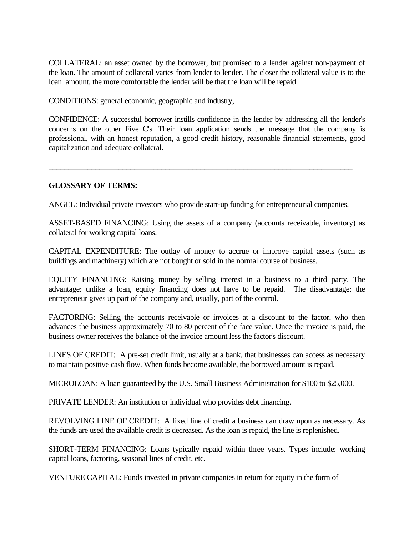COLLATERAL: an asset owned by the borrower, but promised to a lender against non-payment of the loan. The amount of collateral varies from lender to lender. The closer the collateral value is to the loan amount, the more comfortable the lender will be that the loan will be repaid.

CONDITIONS: general economic, geographic and industry,

CONFIDENCE: A successful borrower instills confidence in the lender by addressing all the lender's concerns on the other Five C's. Their loan application sends the message that the company is professional, with an honest reputation, a good credit history, reasonable financial statements, good capitalization and adequate collateral.

#### **GLOSSARY OF TERMS:**

ANGEL: Individual private investors who provide start-up funding for entrepreneurial companies.

\_\_\_\_\_\_\_\_\_\_\_\_\_\_\_\_\_\_\_\_\_\_\_\_\_\_\_\_\_\_\_\_\_\_\_\_\_\_\_\_\_\_\_\_\_\_\_\_\_\_\_\_\_\_\_\_\_\_\_\_\_\_\_\_\_\_\_\_\_\_\_\_\_\_\_\_\_\_

ASSET-BASED FINANCING: Using the assets of a company (accounts receivable, inventory) as collateral for working capital loans.

CAPITAL EXPENDITURE: The outlay of money to accrue or improve capital assets (such as buildings and machinery) which are not bought or sold in the normal course of business.

EQUITY FINANCING: Raising money by selling interest in a business to a third party. The advantage: unlike a loan, equity financing does not have to be repaid. The disadvantage: the entrepreneur gives up part of the company and, usually, part of the control.

FACTORING: Selling the accounts receivable or invoices at a discount to the factor, who then advances the business approximately 70 to 80 percent of the face value. Once the invoice is paid, the business owner receives the balance of the invoice amount less the factor's discount.

LINES OF CREDIT: A pre-set credit limit, usually at a bank, that businesses can access as necessary to maintain positive cash flow. When funds become available, the borrowed amount is repaid.

MICROLOAN: A loan guaranteed by the U.S. Small Business Administration for \$100 to \$25,000.

PRIVATE LENDER: An institution or individual who provides debt financing.

REVOLVING LINE OF CREDIT: A fixed line of credit a business can draw upon as necessary. As the funds are used the available credit is decreased. As the loan is repaid, the line is replenished.

SHORT-TERM FINANCING: Loans typically repaid within three years. Types include: working capital loans, factoring, seasonal lines of credit, etc.

VENTURE CAPITAL: Funds invested in private companies in return for equity in the form of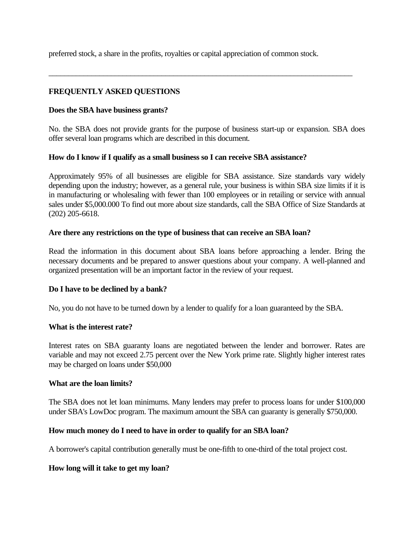preferred stock, a share in the profits, royalties or capital appreciation of common stock.

# **FREQUENTLY ASKED QUESTIONS**

#### **Does the SBA have business grants?**

No. the SBA does not provide grants for the purpose of business start-up or expansion. SBA does offer several loan programs which are described in this document.

\_\_\_\_\_\_\_\_\_\_\_\_\_\_\_\_\_\_\_\_\_\_\_\_\_\_\_\_\_\_\_\_\_\_\_\_\_\_\_\_\_\_\_\_\_\_\_\_\_\_\_\_\_\_\_\_\_\_\_\_\_\_\_\_\_\_\_\_\_\_\_\_\_\_\_\_\_\_

#### **How do I know if I qualify as a small business so I can receive SBA assistance?**

Approximately 95% of all businesses are eligible for SBA assistance. Size standards vary widely depending upon the industry; however, as a general rule, your business is within SBA size limits if it is in manufacturing or wholesaling with fewer than 100 employees or in retailing or service with annual sales under \$5,000.000 To find out more about size standards, call the SBA Office of Size Standards at (202) 205-6618.

#### **Are there any restrictions on the type of business that can receive an SBA loan?**

Read the information in this document about SBA loans before approaching a lender. Bring the necessary documents and be prepared to answer questions about your company. A well-planned and organized presentation will be an important factor in the review of your request.

#### **Do I have to be declined by a bank?**

No, you do not have to be turned down by a lender to qualify for a loan guaranteed by the SBA.

#### **What is the interest rate?**

Interest rates on SBA guaranty loans are negotiated between the lender and borrower. Rates are variable and may not exceed 2.75 percent over the New York prime rate. Slightly higher interest rates may be charged on loans under \$50,000

#### **What are the loan limits?**

The SBA does not let loan minimums. Many lenders may prefer to process loans for under \$100,000 under SBA's LowDoc program. The maximum amount the SBA can guaranty is generally \$750,000.

# **How much money do I need to have in order to qualify for an SBA loan?**

A borrower's capital contribution generally must be one-fifth to one-third of the total project cost.

# **How long will it take to get my loan?**